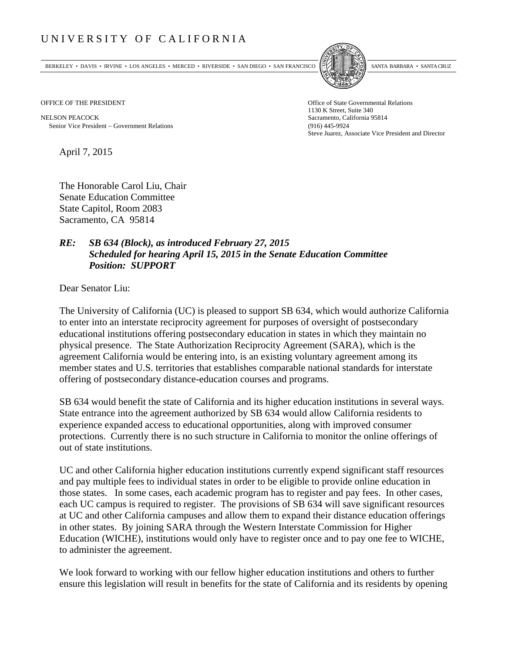## UNIVERSITY OF CALIFORNIA

BERKELEY • DAVIS • IRVINE • LOS ANGELES • MERCED • RIVERSIDE • SAN DIEGO • SAN FRANCISCO SANTA BARBARA • SANTA CRUZ



OFFICE OF THE PRESIDENT STATES OF THE PRESIDENT

NELSON PEACOCK Sacramento, California 95814 Senior Vice President Government Relations (916) 445-9924

1130 K Street, Suite 340 Steve Juarez, Associate Vice President and Director

April 7, 2015

The Honorable Carol Liu, Chair Senate Education Committee State Capitol, Room 2083 Sacramento, CA 95814

## *RE: SB 634 (Block), as introduced February 27, 2015 Scheduled for hearing April 15, 2015 in the Senate Education Committee Position: SUPPORT*

Dear Senator Liu:

The University of California (UC) is pleased to support SB 634, which would authorize California to enter into an interstate reciprocity agreement for purposes of oversight of postsecondary educational institutions offering postsecondary education in states in which they maintain no physical presence. The State Authorization Reciprocity Agreement (SARA), which is the agreement California would be entering into, is an existing voluntary agreement among its member states and U.S. territories that establishes comparable national standards for interstate offering of postsecondary distance-education courses and programs.

SB 634 would benefit the state of California and its higher education institutions in several ways. State entrance into the agreement authorized by SB 634 would allow California residents to experience expanded access to educational opportunities, along with improved consumer protections. Currently there is no such structure in California to monitor the online offerings of out of state institutions.

UC and other California higher education institutions currently expend significant staff resources and pay multiple fees to individual states in order to be eligible to provide online education in those states. In some cases, each academic program has to register and pay fees. In other cases, each UC campus is required to register. The provisions of SB 634 will save significant resources at UC and other California campuses and allow them to expand their distance education offerings in other states. By joining SARA through the Western Interstate Commission for Higher Education (WICHE), institutions would only have to register once and to pay one fee to WICHE, to administer the agreement.

We look forward to working with our fellow higher education institutions and others to further ensure this legislation will result in benefits for the state of California and its residents by opening